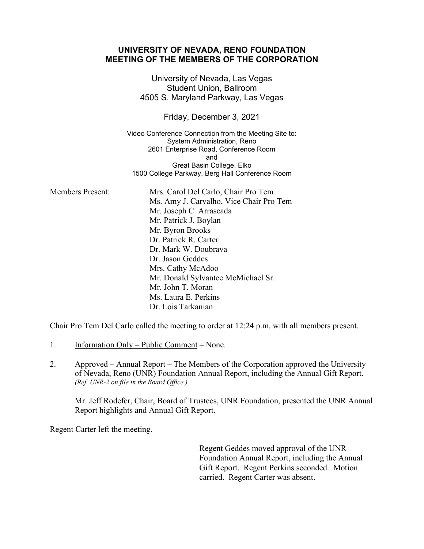|                         | UNIVERSITI UI NEVADA, RENU I UUNDATIUN<br><b>MEETING OF THE MEMBERS OF THE CORPORATION</b>                                                                                                                                                                                                                                          |
|-------------------------|-------------------------------------------------------------------------------------------------------------------------------------------------------------------------------------------------------------------------------------------------------------------------------------------------------------------------------------|
|                         | University of Nevada, Las Vegas<br><b>Student Union, Ballroom</b><br>4505 S. Maryland Parkway, Las Vegas                                                                                                                                                                                                                            |
|                         | Friday, December 3, 2021                                                                                                                                                                                                                                                                                                            |
|                         | Video Conference Connection from the Meeting Site to:<br>System Administration, Reno<br>2601 Enterprise Road, Conference Room<br>and<br>Great Basin College, Elko<br>1500 College Parkway, Berg Hall Conference Room                                                                                                                |
| <b>Members Present:</b> | Mrs. Carol Del Carlo, Chair Pro Tem<br>Ms. Amy J. Carvalho, Vice Chair Pro Tem<br>Mr. Joseph C. Arrascada<br>Mr. Patrick J. Boylan<br>Mr. Byron Brooks<br>Dr. Patrick R. Carter<br>Dr. Mark W. Doubrava<br>Dr. Jason Geddes<br>Mrs. Cathy McAdoo<br>Mr. Donald Sylvantee McMichael Sr.<br>Mr. John T. Moran<br>Ms. Laura E. Perkins |
|                         | Dr. Lois Tarkanian                                                                                                                                                                                                                                                                                                                  |

**UNIVERSITY OF NEVADA, RENO FOUNDATION**

Chair Pro Tem Del Carlo called the meeting to order at 12:24 p.m. with all members present.

- 1. Information Only Public Comment None.
- 2. Approved Annual Report The Members of the Corporation approved the University of Nevada, Reno (UNR) Foundation Annual Report, including the Annual Gift Report. *(Ref. UNR-2 on file in the Board Office.)*

Mr. Jeff Rodefer, Chair, Board of Trustees, UNR Foundation, presented the UNR Annual Report highlights and Annual Gift Report.

Regent Carter left the meeting.

Regent Geddes moved approval of the UNR Foundation Annual Report, including the Annual Gift Report. Regent Perkins seconded. Motion carried. Regent Carter was absent.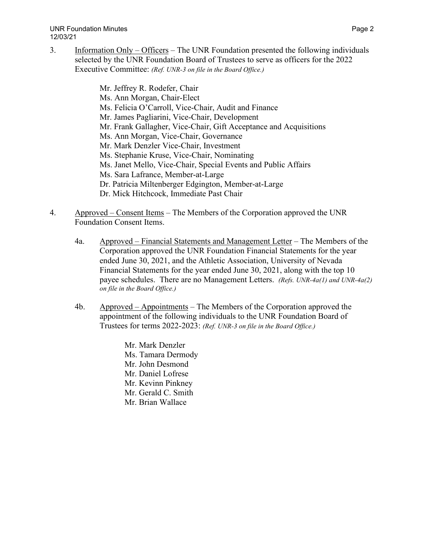3. Information Only – Officers – The UNR Foundation presented the following individuals selected by the UNR Foundation Board of Trustees to serve as officers for the 2022 Executive Committee: *(Ref. UNR-3 on file in the Board Office.)*

> Mr. Jeffrey R. Rodefer, Chair Ms. Ann Morgan, Chair-Elect Ms. Felicia O'Carroll, Vice-Chair, Audit and Finance Mr. James Pagliarini, Vice-Chair, Development Mr. Frank Gallagher, Vice-Chair, Gift Acceptance and Acquisitions Ms. Ann Morgan, Vice-Chair, Governance Mr. Mark Denzler Vice-Chair, Investment Ms. Stephanie Kruse, Vice-Chair, Nominating Ms. Janet Mello, Vice-Chair, Special Events and Public Affairs Ms. Sara Lafrance, Member-at-Large Dr. Patricia Miltenberger Edgington, Member-at-Large Dr. Mick Hitchcock, Immediate Past Chair

- 4. Approved Consent Items The Members of the Corporation approved the UNR Foundation Consent Items.
	- 4a. Approved Financial Statements and Management Letter The Members of the Corporation approved the UNR Foundation Financial Statements for the year ended June 30, 2021, and the Athletic Association, University of Nevada Financial Statements for the year ended June 30, 2021, along with the top 10 payee schedules. There are no Management Letters. *(Refs. UNR-4a(1) and UNR-4a(2) on file in the Board Office.)*
	- 4b. Approved Appointments The Members of the Corporation approved the appointment of the following individuals to the UNR Foundation Board of Trustees for terms 2022-2023: *(Ref. UNR-3 on file in the Board Office.)*
		- Mr. Mark Denzler Ms. Tamara Dermody Mr. John Desmond Mr. Daniel Lofrese Mr. Kevinn Pinkney Mr. Gerald C. Smith Mr. Brian Wallace